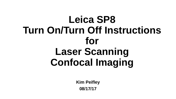# **Leica SP8 Turn On/Turn Off Instructions for Laser Scanning Confocal Imaging**

**Kim Peifley 08/17/17**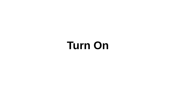# **Turn On**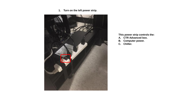**1. Turn on the left power strip.**



#### **This power strip controls the:**

- **A. CTR Advanced box.**
- **B. Computer power.**
- **C. Chiller.**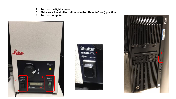- **2. Turn on the light source.**
- **3. Make sure the shutter button is in the "Remote" [out] position.**
- **4. Turn on computer.**





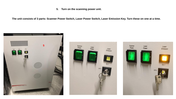**5. Turn on the scanning power unit.** 

**The unit consists of 3 parts: Scanner Power Switch, Laser Power Switch, Laser Emission Key. Turn these on one at a time.**



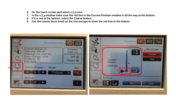- **6. On the touch screen pad select x,Z,y icon.**
- **7. In the x,Z,y window make sure the red line in the Current Position window is all the way at the bottom.**
- **8. If it is not at the bottom, select the Coarse button.**
- **9. Use the coarse focus knob on the microscope to lower the red line to the bottom.**

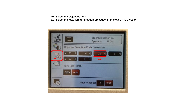- **10. Select the Objective Icon.**
- **11. Select the lowest magnification objective. In this case it is the 2.5x**

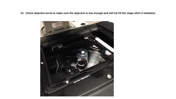**12. Check objective turret to make sure the objective is low enough and will not hit the stage when it initializes.**

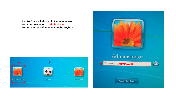- **13. To Open Windows click Administrator.**
- **14. Enter Password: !Admin12345.**
- **15. Hit the return/enter key on the keyboard.**



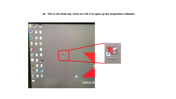### **16. This is the desk top. Click on LAS X to open up the acquisition software**

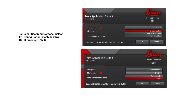**For Laser Scanning Confocal Select:**

**17. Configuration: machine.xlhw.**

**18. Microscope: DMI8.**

| Leica Application Suite X<br>3.1.1.15751     | <b>MICROSYSTEMS</b>                  |
|----------------------------------------------|--------------------------------------|
| Configuration: 17<br>Microscope:             | machine.xlhw $\div$<br>machine.xlhw  |
| Load settings at startup:                    | machineDLS.xlhw<br>SimulatorSP8.xlhw |
| Copyright © 2016 Leica Microsystems CMS GmbH | Cancel<br>OK                         |

| Leica Application Suite X<br>3.1.5.16308     | <b>MICROSYSTEMS</b>             |
|----------------------------------------------|---------------------------------|
| Configuration:                               | machine.xlhw $\div$             |
| $\sqrt{18}$<br>Microscope:                   | DMI8                            |
| Load settings at startup:                    | DM Manual-6<br>DM <sub>I8</sub> |
| Copyright © 2017 Leica Microsystems CMS GmbH | Cancel<br>OK                    |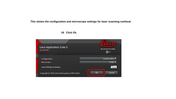**This shows the configuration and microscope settings for laser scanning confocal.**

#### Leica Application Suite X **MICROSYSTEMS**  $3.1.1.15751$  $\bullet$ Configuration: machine.xlhw  $\div$ DMI8  $\div$ Microscope: Load settings at startup:  $\bigcup$  OFF  $OK$ Cancel Copyright @ 2016 Leica Microsystems CMS GmbH

#### **19. Click Ok.**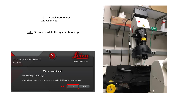**20. Tilt back condenser.**

**Note: Be patient while the system boots up.**



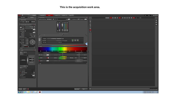#### **This is the acquisition work area.**

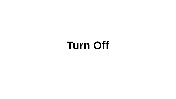# **Turn Off**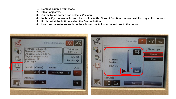- **1. Remove sample from stage.**
- **2. Clean objective.**
- **3. On the touch screen pad select x,Z,y icon.**
- **4. In the x,Z,y window make sure the red line in the Current Position window is all the way at the bottom.**
- **5. If it is not at the bottom, select the Coarse button.**
- **6. Use the coarse focus knob on the microscope to lower the red line to the bottom.**

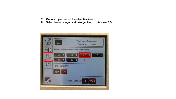- **7. On touch pad, select the objective icon**
- **8. Select lowest magnification objective. In this case 2.5x**

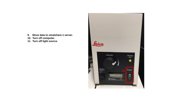- **9. Move data to omalshare-1 server.**
- **10. Turn off computer.**
- **11. Turn off light source.**

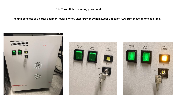**12. Turn off the scanning power unit.** 

**The unit consists of 3 parts: Scanner Power Switch, Laser Power Switch, Laser Emission Key. Turn these on one at a time.**